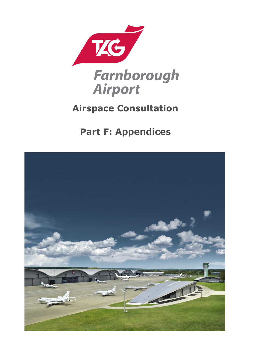

# **Airspace Consultation**

# **Part F: Appendices**

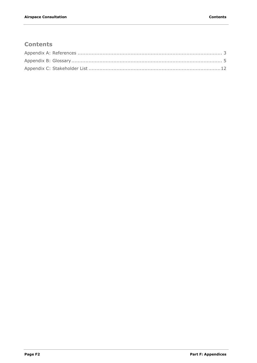### **Contents**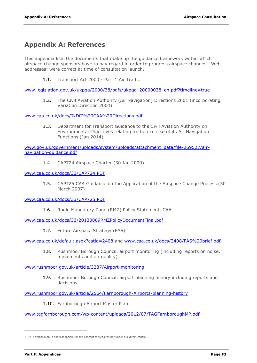#### <span id="page-2-0"></span>**Appendix A: References**

This appendix lists the documents that make up the guidance framework within which airspace change sponsors have to pay regard in order to progress airspace changes. Web addresses $1$  were correct at time of consultation launch.

1.1. Transport Act 2000 - Part 1 Air Traffic

[www.legislation.gov.uk/ukpga/2000/38/pdfs/ukpga\\_20000038\\_en.pdf?timeline=true](http://www.legislation.gov.uk/ukpga/2000/38/pdfs/ukpga_20000038_en.pdf?timeline=true) 

1.2. The Civil Aviation Authority (Air Navigation) Directions 2001 (incorporating Variation Direction 2004)

[www.caa.co.uk/docs/7/DfT%20CAA%20Directions.pdf](http://www.caa.co.uk/docs/7/DfT%20CAA%20Directions.pdf) 

1.3. Department for Transport Guidance to the Civil Aviation Authority on Environmental Objectives relating to the exercise of its Air Navigation Functions (Jan 2014)

[www.gov.uk/government/uploads/system/uploads/attachment\\_data/file/269527/air](http://www.gov.uk/government/uploads/system/uploads/attachment_data/file/269527/air-navigation-guidance.pdf)[navigation-guidance.pdf](http://www.gov.uk/government/uploads/system/uploads/attachment_data/file/269527/air-navigation-guidance.pdf)

1.4. CAP724 Airspace Charter (30 Jan 2009)

[www.caa.co.uk/docs/33/CAP724.PDF](http://www.caa.co.uk/docs/33/CAP724.PDF) 

1.5. CAP725 CAA Guidance on the Application of the Airspace Change Process (30 March 2007)

[www.caa.co.uk/docs/33/CAP725.PDF](http://www.caa.co.uk/docs/33/CAP725.PDF) 

1.6. Radio Mandatory Zone (RMZ) Policy Statement, CAA

[www.caa.co.uk/docs/33/20130809RMZPolicyDocumentFinal.pdf](http://www.caa.co.uk/docs/33/20130809RMZPolicyDocumentFinal.pdf) 

1.7. Future Airspace Strategy (FAS)

[www.caa.co.uk/default.aspx?catid=2408](http://www.caa.co.uk/default.aspx?catid=2408) and [www.caa.co.uk/docs/2408/FAS%20brief.pdf](http://www.caa.co.uk/docs/2408/FAS%20brief.pdf)

1.8. Rushmoor Borough Council, airport monitoring (including reports on noise, movements and air quality)

[www.rushmoor.gov.uk/article/3287/Airport-monitoring](http://www.rushmoor.gov.uk/article/3287/Airport-monitoring)

1.9. Rushmoor Borough Council, airport planning history including reports and decisions

[www.rushmoor.gov.uk/article/2564/Farnborough-Airports-planning-history](http://www.rushmoor.gov.uk/article/2564/Farnborough-Airports-planning-history) 

1.10. Farnborough Airport Master Plan

[www.tagfarnborough.com/wp-content/uploads/2012/07/TAGFarnboroughMP.pdf](http://www.tagfarnborough.com/wp-content/uploads/2012/07/TAGFarnboroughMP.pdf)

-

<sup>1</sup> TAG Farnborough is not responsible for the content of websites not under our direct control.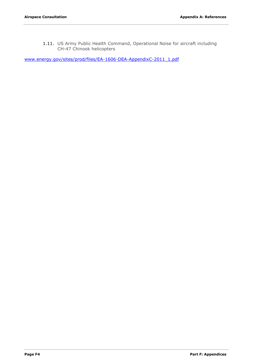1.11. US Army Public Health Command, Operational Noise for aircraft including CH-47 Chinook helicopters

[www.energy.gov/sites/prod/files/EA-1606-DEA-AppendixC-2011\\_1.pdf](http://www.energy.gov/sites/prod/files/EA-1606-DEA-AppendixC-2011_1.pdf)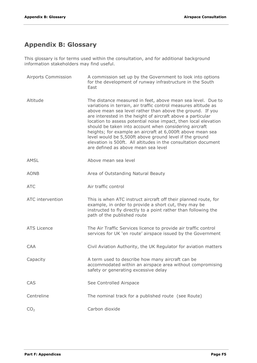## <span id="page-4-0"></span>**Appendix B: Glossary**

This glossary is for terms used within the consultation, and for additional background information stakeholders may find useful.

| Airports Commission | A commission set up by the Government to look into options<br>for the development of runway infrastructure in the South<br>East                                                                                                                                                                                                                                                                                                                                                                                                                                                                                           |
|---------------------|---------------------------------------------------------------------------------------------------------------------------------------------------------------------------------------------------------------------------------------------------------------------------------------------------------------------------------------------------------------------------------------------------------------------------------------------------------------------------------------------------------------------------------------------------------------------------------------------------------------------------|
| Altitude            | The distance measured in feet, above mean sea level. Due to<br>variations in terrain, air traffic control measures altitude as<br>above mean sea level rather than above the ground. If you<br>are interested in the height of aircraft above a particular<br>location to assess potential noise impact, then local elevation<br>should be taken into account when considering aircraft<br>heights; for example an aircraft at 6,000ft above mean sea<br>level would be 5,500ft above ground level if the ground<br>elevation is 500ft. All altitudes in the consultation document<br>are defined as above mean sea level |
| AMSL                | Above mean sea level                                                                                                                                                                                                                                                                                                                                                                                                                                                                                                                                                                                                      |
| <b>AONB</b>         | Area of Outstanding Natural Beauty                                                                                                                                                                                                                                                                                                                                                                                                                                                                                                                                                                                        |
| <b>ATC</b>          | Air traffic control                                                                                                                                                                                                                                                                                                                                                                                                                                                                                                                                                                                                       |
| ATC intervention    | This is when ATC instruct aircraft off their planned route, for<br>example, in order to provide a short cut, they may be<br>instructed to fly directly to a point rather than following the<br>path of the published route                                                                                                                                                                                                                                                                                                                                                                                                |
| <b>ATS Licence</b>  | The Air Traffic Services licence to provide air traffic control<br>services for UK 'en route' airspace issued by the Government                                                                                                                                                                                                                                                                                                                                                                                                                                                                                           |
| <b>CAA</b>          | Civil Aviation Authority, the UK Regulator for aviation matters                                                                                                                                                                                                                                                                                                                                                                                                                                                                                                                                                           |
| Capacity            | A term used to describe how many aircraft can be<br>accommodated within an airspace area without compromising<br>safety or generating excessive delay                                                                                                                                                                                                                                                                                                                                                                                                                                                                     |
| CAS                 | See Controlled Airspace                                                                                                                                                                                                                                                                                                                                                                                                                                                                                                                                                                                                   |
| Centreline          | The nominal track for a published route (see Route)                                                                                                                                                                                                                                                                                                                                                                                                                                                                                                                                                                       |
| CO <sub>2</sub>     | Carbon dioxide                                                                                                                                                                                                                                                                                                                                                                                                                                                                                                                                                                                                            |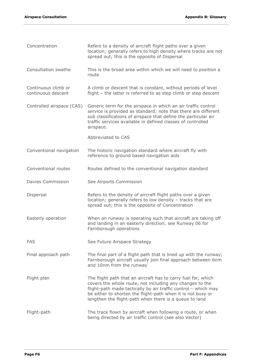| Concentration                             | Refers to a density of aircraft flight paths over a given<br>location; generally refers to high density where tracks are not<br>spread out; this is the opposite of Dispersal                                                                                                                                        |
|-------------------------------------------|----------------------------------------------------------------------------------------------------------------------------------------------------------------------------------------------------------------------------------------------------------------------------------------------------------------------|
| Consultation swathe                       | This is the broad area within which we will need to position a<br>route                                                                                                                                                                                                                                              |
| Continuous climb or<br>continuous descent | A climb or descent that is constant, without periods of level<br>flight - the latter is referred to as step climb or step descent                                                                                                                                                                                    |
| Controlled airspace (CAS)                 | Generic term for the airspace in which an air traffic control<br>service is provided as standard; note that there are different<br>sub classifications of airspace that define the particular air<br>traffic services available in defined classes of controlled<br>airspace.                                        |
|                                           | Abbreviated to CAS                                                                                                                                                                                                                                                                                                   |
| Conventional navigation                   | The historic navigation standard where aircraft fly with<br>reference to ground based navigation aids                                                                                                                                                                                                                |
| Conventional routes                       | Routes defined to the conventional navigation standard                                                                                                                                                                                                                                                               |
| <b>Davies Commission</b>                  | See Airports Commission                                                                                                                                                                                                                                                                                              |
| Dispersal                                 | Refers to the density of aircraft flight paths over a given<br>location; generally refers to low density - tracks that are<br>spread out; this is the opposite of Concentration                                                                                                                                      |
| Easterly operation                        | When an runway is operating such that aircraft are taking off<br>and landing in an easterly direction; see Runway 06 for<br>Farnborough operations                                                                                                                                                                   |
| <b>FAS</b>                                | See Future Airspace Strategy                                                                                                                                                                                                                                                                                         |
| Final approach path                       | The final part of a flight path that is lined up with the runway;<br>Farnborough aircraft usually join final approach between 6nm<br>and 10nm from the runway                                                                                                                                                        |
| Flight plan                               | The flight path that an aircraft has to carry fuel for, which<br>covers the whole route, not including any changes to the<br>flight-path made tactically by air traffic control - which may<br>be either to shorten the flight-path when it is not busy or<br>lengthen the flight-path when there is a queue to land |
| Flight-path                               | The track flown by aircraft when following a route, or when<br>being directed by air traffic control (see also Vector)                                                                                                                                                                                               |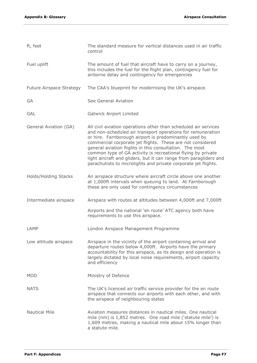| ft, feet                        | The standard measure for vertical distances used in air traffic<br>control                                                                                                                                                                                                                                                                                                                                                                                                                                              |
|---------------------------------|-------------------------------------------------------------------------------------------------------------------------------------------------------------------------------------------------------------------------------------------------------------------------------------------------------------------------------------------------------------------------------------------------------------------------------------------------------------------------------------------------------------------------|
| Fuel uplift                     | The amount of fuel that aircraft have to carry on a journey,<br>this includes the fuel for the flight plan, contingency fuel for<br>airborne delay and contingency for emergencies                                                                                                                                                                                                                                                                                                                                      |
| <b>Future Airspace Strategy</b> | The CAA's blueprint for modernising the UK's airspace.                                                                                                                                                                                                                                                                                                                                                                                                                                                                  |
| GA                              | See General Aviation                                                                                                                                                                                                                                                                                                                                                                                                                                                                                                    |
| <b>GAL</b>                      | <b>Gatwick Airport Limited</b>                                                                                                                                                                                                                                                                                                                                                                                                                                                                                          |
| General Aviation (GA)           | All civil aviation operations other than scheduled air services<br>and non-scheduled air transport operations for remuneration<br>or hire. Farnborough airport is predominantly used by<br>commercial corporate jet flights. These are not considered<br>general aviation flights in this consultation. The most<br>common type of GA activity is recreational flying by private<br>light aircraft and gliders, but it can range from paragliders and<br>parachutists to microlights and private corporate jet flights. |
| Holds/Holding Stacks            | An airspace structure where aircraft circle above one another<br>at 1,000ft intervals when queuing to land. At Farnborough<br>these are only used for contingency circumstances                                                                                                                                                                                                                                                                                                                                         |
| Intermediate airspace           | Airspace with routes at altitudes between 4,000ft and 7,000ft                                                                                                                                                                                                                                                                                                                                                                                                                                                           |
|                                 | Airports and the national 'en route' ATC agency both have<br>requirements to use this airspace.                                                                                                                                                                                                                                                                                                                                                                                                                         |
| LAMP                            | London Airspace Management Programme                                                                                                                                                                                                                                                                                                                                                                                                                                                                                    |
| Low altitude airspace           | Airspace in the vicinity of the airport containing arrival and<br>departure routes below 4,000ft. Airports have the primary<br>accountability for this airspace, as its design and operation is<br>largely dictated by local noise requirements, airport capacity<br>and efficiency                                                                                                                                                                                                                                     |
| <b>MOD</b>                      | Ministry of Defence                                                                                                                                                                                                                                                                                                                                                                                                                                                                                                     |
| <b>NATS</b>                     | The UK's licenced air traffic service provider for the en route<br>airspace that connects our airports with each other, and with<br>the airspace of neighbouring states                                                                                                                                                                                                                                                                                                                                                 |
| <b>Nautical Mile</b>            | Aviation measures distances in nautical miles. One nautical<br>mile (nm) is 1,852 metres. One road mile ('statute mile') is<br>1,609 metres, making a nautical mile about 15% longer than<br>a statute mile.                                                                                                                                                                                                                                                                                                            |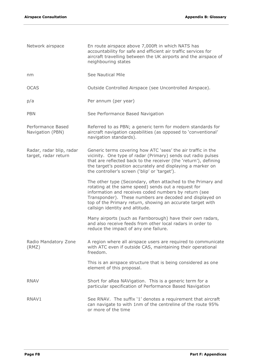| Network airspace                                 | En route airspace above 7,000ft in which NATS has<br>accountability for safe and efficient air traffic services for<br>aircraft travelling between the UK airports and the airspace of<br>neighbouring states                                                                                                                             |
|--------------------------------------------------|-------------------------------------------------------------------------------------------------------------------------------------------------------------------------------------------------------------------------------------------------------------------------------------------------------------------------------------------|
| nm                                               | See Nautical Mile                                                                                                                                                                                                                                                                                                                         |
| <b>OCAS</b>                                      | Outside Controlled Airspace (see Uncontrolled Airspace).                                                                                                                                                                                                                                                                                  |
| p/a                                              | Per annum (per year)                                                                                                                                                                                                                                                                                                                      |
| <b>PBN</b>                                       | See Performance Based Navigation                                                                                                                                                                                                                                                                                                          |
| Performance Based<br>Navigation (PBN)            | Referred to as PBN; a generic term for modern standards for<br>aircraft navigation capabilities (as opposed to 'conventional'<br>navigation standards).                                                                                                                                                                                   |
| Radar, radar blip, radar<br>target, radar return | Generic terms covering how ATC 'sees' the air traffic in the<br>vicinity. One type of radar (Primary) sends out radio pulses<br>that are reflected back to the receiver (the 'return'), defining<br>the target's position accurately and displaying a marker on<br>the controller's screen ('blip' or 'target').                          |
|                                                  | The other type (Secondary, often attached to the Primary and<br>rotating at the same speed) sends out a request for<br>information and receives coded numbers by return (see<br>Transponder). These numbers are decoded and displayed on<br>top of the Primary return, showing an accurate target with<br>callsign identity and altitude. |
|                                                  | Many airports (such as Farnborough) have their own radars,<br>and also receive feeds from other local radars in order to<br>reduce the impact of any one failure.                                                                                                                                                                         |
| Radio Mandatory Zone<br>(RMZ)                    | A region where all airspace users are required to communicate<br>with ATC even if outside CAS, maintaining their operational<br>freedom.                                                                                                                                                                                                  |
|                                                  | This is an airspace structure that is being considered as one<br>element of this proposal.                                                                                                                                                                                                                                                |
| <b>RNAV</b>                                      | Short for aRea NAVigation. This is a generic term for a<br>particular specification of Performance Based Navigation                                                                                                                                                                                                                       |
| RNAV1                                            | See RNAV. The suffix '1' denotes a requirement that aircraft<br>can navigate to with 1nm of the centreline of the route 95%<br>or more of the time                                                                                                                                                                                        |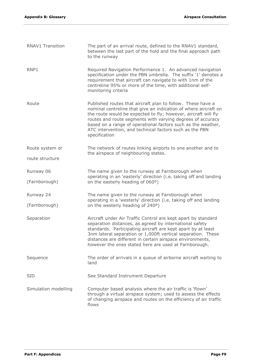| <b>RNAV1 Transition</b> | The part of an arrival route, defined to the RNAV1 standard,<br>between the last part of the hold and the final approach path<br>to the runway                                                                                                                                                                                                                                                             |
|-------------------------|------------------------------------------------------------------------------------------------------------------------------------------------------------------------------------------------------------------------------------------------------------------------------------------------------------------------------------------------------------------------------------------------------------|
| RNP1                    | Required Navigation Performance 1. An advanced navigation<br>specification under the PBN umbrella. The suffix '1' denotes a<br>requirement that aircraft can navigate to with 1nm of the<br>centreline 95% or more of the time, with additional self-<br>monitoring criteria                                                                                                                               |
| Route                   | Published routes that aircraft plan to follow. These have a<br>nominal centreline that give an indication of where aircraft on<br>the route would be expected to fly; however, aircraft will fly<br>routes and route segments with varying degrees of accuracy<br>based on a range of operational factors such as the weather,<br>ATC intervention, and technical factors such as the PBN<br>specification |
| Route system or         | The network of routes linking airports to one another and to<br>the airspace of neighbouring states.                                                                                                                                                                                                                                                                                                       |
| route structure         |                                                                                                                                                                                                                                                                                                                                                                                                            |
| Runway 06               | The name given to the runway at Farnborough when<br>operating in an 'easterly' direction (i.e. taking off and landing                                                                                                                                                                                                                                                                                      |
| (Farnborough)           | on the easterly heading of 060°)                                                                                                                                                                                                                                                                                                                                                                           |
| Runway 24               | The name given to the runway at Farnborough when<br>operating in a 'westerly' direction (i.e. taking off and landing                                                                                                                                                                                                                                                                                       |
| (Farnborough)           | on the westerly heading of 240°)                                                                                                                                                                                                                                                                                                                                                                           |
| Separation              | Aircraft under Air Traffic Control are kept apart by standard<br>separation distances, as agreed by international safety<br>standards. Participating aircraft are kept apart by at least<br>3nm lateral separation or 1,000ft vertical separation. These<br>distances are different in certain airspace environments,<br>however the ones stated here are used at Farnborough.                             |
| Sequence                | The order of arrivals in a queue of airborne aircraft waiting to<br>land                                                                                                                                                                                                                                                                                                                                   |
| <b>SID</b>              | See Standard Instrument Departure                                                                                                                                                                                                                                                                                                                                                                          |
| Simulation modelling    | Computer based analysis where the air traffic is 'flown'<br>through a virtual airspace system; used to assess the effects<br>of changing airspace and routes on the efficiency of air traffic<br>flows                                                                                                                                                                                                     |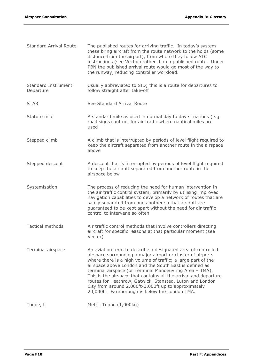| <b>Standard Arrival Route</b>           | The published routes for arriving traffic. In today's system<br>these bring aircraft from the route network to the holds (some<br>distance from the airport), from where they follow ATC<br>instructions (see Vector) rather than a published route. Under<br>PBN the published arrival route would go most of the way to<br>the runway, reducing controller workload.                                                                                                                                                                                     |
|-----------------------------------------|------------------------------------------------------------------------------------------------------------------------------------------------------------------------------------------------------------------------------------------------------------------------------------------------------------------------------------------------------------------------------------------------------------------------------------------------------------------------------------------------------------------------------------------------------------|
| <b>Standard Instrument</b><br>Departure | Usually abbreviated to SID; this is a route for departures to<br>follow straight after take-off                                                                                                                                                                                                                                                                                                                                                                                                                                                            |
| <b>STAR</b>                             | See Standard Arrival Route                                                                                                                                                                                                                                                                                                                                                                                                                                                                                                                                 |
| Statute mile                            | A standard mile as used in normal day to day situations (e.g.<br>road signs) but not for air traffic where nautical miles are<br>used                                                                                                                                                                                                                                                                                                                                                                                                                      |
| Stepped climb                           | A climb that is interrupted by periods of level flight required to<br>keep the aircraft separated from another route in the airspace<br>above                                                                                                                                                                                                                                                                                                                                                                                                              |
| Stepped descent                         | A descent that is interrupted by periods of level flight required<br>to keep the aircraft separated from another route in the<br>airspace below                                                                                                                                                                                                                                                                                                                                                                                                            |
| Systemisation                           | The process of reducing the need for human intervention in<br>the air traffic control system, primarily by utilising improved<br>navigation capabilities to develop a network of routes that are<br>safely separated from one another so that aircraft are<br>guaranteed to be kept apart without the need for air traffic<br>control to intervene so often                                                                                                                                                                                                |
| <b>Tactical methods</b>                 | Air traffic control methods that involve controllers directing<br>aircraft for specific reasons at that particular moment (see<br>Vector)                                                                                                                                                                                                                                                                                                                                                                                                                  |
| Terminal airspace                       | An aviation term to describe a designated area of controlled<br>airspace surrounding a major airport or cluster of airports<br>where there is a high volume of traffic; a large part of the<br>airspace above London and the South East is defined as<br>terminal airspace (or Terminal Manoeuvring Area - TMA).<br>This is the airspace that contains all the arrival and departure<br>routes for Heathrow, Gatwick, Stansted, Luton and London<br>City from around 2,000ft-3,000ft up to approximately<br>20,000ft. Farnborough is below the London TMA. |
| Tonne, t                                | Metric Tonne (1,000kg)                                                                                                                                                                                                                                                                                                                                                                                                                                                                                                                                     |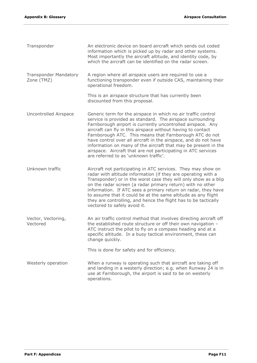| Transponder                                | An electronic device on board aircraft which sends out coded<br>information which is picked up by radar and other systems.<br>Most importantly the aircraft altitude, and identity code, by<br>which the aircraft can be identified on the radar screen.                                                                                                                                                                                                                                                                                                           |
|--------------------------------------------|--------------------------------------------------------------------------------------------------------------------------------------------------------------------------------------------------------------------------------------------------------------------------------------------------------------------------------------------------------------------------------------------------------------------------------------------------------------------------------------------------------------------------------------------------------------------|
| <b>Transponder Mandatory</b><br>Zone (TMZ) | A region where all airspace users are required to use a<br>functioning transponder even if outside CAS, maintaining their<br>operational freedom.                                                                                                                                                                                                                                                                                                                                                                                                                  |
|                                            | This is an airspace structure that has currently been<br>discounted from this proposal.                                                                                                                                                                                                                                                                                                                                                                                                                                                                            |
| Uncontrolled Airspace                      | Generic term for the airspace in which no air traffic control<br>service is provided as standard. The airspace surrounding<br>Farnborough airport is currently uncontrolled airspace. Any<br>aircraft can fly in this airspace without having to contact<br>Farnborough ATC. This means that Farnborough ATC do not<br>have control over all aircraft in the airspace, and do not have<br>information on many of the aircraft that may be present in the<br>airspace. Aircraft that are not participating in ATC services<br>are referred to as 'unknown traffic'. |
| Unknown traffic                            | Aircraft not participating in ATC services. They may show on<br>radar with altitude information (if they are operating with a<br>Transponder) or in the worst case they will only show as a blip<br>on the radar screen (a radar primary return) with no other<br>information. If ATC sees a primary return on radar, they have<br>to assume that it could be at the same altitude as any flight<br>they are controlling, and hence the flight has to be tactically<br>vectored to safely avoid it.                                                                |
| Vector, Vectoring,<br>Vectored             | An air traffic control method that involves directing aircraft off<br>the established route structure or off their own navigation -<br>ATC instruct the pilot to fly on a compass heading and at a<br>specific altitude. In a busy tactical environment, these can<br>change quickly.<br>This is done for safety and for efficiency.                                                                                                                                                                                                                               |
| Westerly operation                         | When a runway is operating such that aircraft are taking off<br>and landing in a westerly direction; e.g. when Runway 24 is in<br>use at Farnborough, the airport is said to be on westerly<br>operations.                                                                                                                                                                                                                                                                                                                                                         |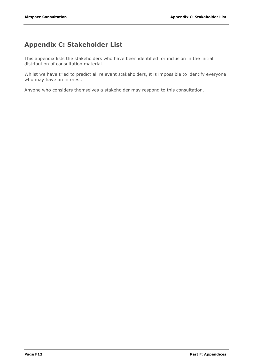## <span id="page-11-0"></span>**Appendix C: Stakeholder List**

This appendix lists the stakeholders who have been identified for inclusion in the initial distribution of consultation material.

Whilst we have tried to predict all relevant stakeholders, it is impossible to identify everyone who may have an interest.

Anyone who considers themselves a stakeholder may respond to this consultation.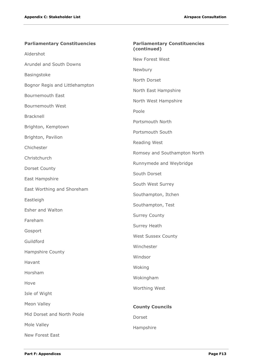| <b>Parliamentary Constituencies</b> | <b>Parliamentary Constituencies</b><br>(continued) |
|-------------------------------------|----------------------------------------------------|
| Aldershot                           | New Forest West                                    |
| Arundel and South Downs             | Newbury                                            |
| Basingstoke                         |                                                    |
| Bognor Regis and Littlehampton      | North Dorset                                       |
| <b>Bournemouth East</b>             | North East Hampshire                               |
| Bournemouth West                    | North West Hampshire                               |
| Bracknell                           | Poole                                              |
| Brighton, Kemptown                  | Portsmouth North                                   |
| Brighton, Pavilion                  | Portsmouth South                                   |
| Chichester                          | Reading West                                       |
| Christchurch                        | Romsey and Southampton North                       |
| Dorset County                       | Runnymede and Weybridge                            |
| East Hampshire                      | South Dorset                                       |
| East Worthing and Shoreham          | South West Surrey                                  |
| Eastleigh                           | Southampton, Itchen                                |
| Esher and Walton                    | Southampton, Test                                  |
| Fareham                             | <b>Surrey County</b>                               |
|                                     | Surrey Heath                                       |
| Gosport                             | <b>West Sussex County</b>                          |
| Guildford                           | Winchester                                         |
| Hampshire County                    | Windsor                                            |
| Havant                              | Woking                                             |
| Horsham                             | Wokingham                                          |
| Hove                                | Worthing West                                      |
| Isle of Wight                       |                                                    |
| Meon Valley                         | <b>County Councils</b>                             |
| Mid Dorset and North Poole          | Dorset                                             |
| Mole Valley                         | Hampshire                                          |
| New Forest East                     |                                                    |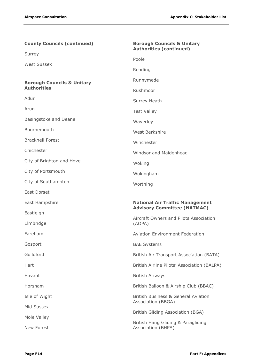| <b>County Councils (continued)</b>    | <b>Borough Councils &amp; Unitary</b><br><b>Authorities (continued)</b>      |
|---------------------------------------|------------------------------------------------------------------------------|
| Surrey                                | Poole                                                                        |
| <b>West Sussex</b>                    |                                                                              |
|                                       | Reading                                                                      |
| <b>Borough Councils &amp; Unitary</b> | Runnymede                                                                    |
| <b>Authorities</b>                    | Rushmoor                                                                     |
| Adur                                  | Surrey Heath                                                                 |
| Arun                                  | <b>Test Valley</b>                                                           |
| Basingstoke and Deane                 | Waverley                                                                     |
| Bournemouth                           | West Berkshire                                                               |
| <b>Bracknell Forest</b>               | Winchester                                                                   |
| Chichester                            | Windsor and Maidenhead                                                       |
| City of Brighton and Hove             | Woking                                                                       |
| City of Portsmouth                    | Wokingham                                                                    |
| City of Southampton                   | Worthing                                                                     |
| East Dorset                           |                                                                              |
| East Hampshire                        | <b>National Air Traffic Management</b><br><b>Advisory Committee (NATMAC)</b> |
| Eastleigh                             | Aircraft Owners and Pilots Association                                       |
| Elmbridge                             | (AOPA)                                                                       |
| Fareham                               | <b>Aviation Environment Federation</b>                                       |
| Gosport                               | <b>BAE Systems</b>                                                           |
| Guildford                             | British Air Transport Association (BATA)                                     |
| Hart                                  | British Airline Pilots' Association (BALPA)                                  |
| Havant                                | <b>British Airways</b>                                                       |
| Horsham                               | British Balloon & Airship Club (BBAC)                                        |
| Isle of Wight                         | <b>British Business &amp; General Aviation</b><br>Association (BBGA)         |
| Mid Sussex                            |                                                                              |
| Mole Valley                           | British Gliding Association (BGA)                                            |
| New Forest                            | British Hang Gliding & Paragliding<br>Association (BHPA)                     |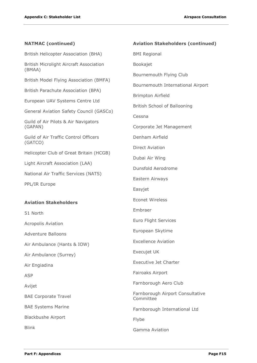| <b>NATMAC</b> (continued)                         | <b>Aviation Stakeholders (continued)</b>      |
|---------------------------------------------------|-----------------------------------------------|
| British Helicopter Association (BHA)              | <b>BMI Regional</b>                           |
| British Microlight Aircraft Association<br>(BMAA) | Bookajet                                      |
| British Model Flying Association (BMFA)           | Bournemouth Flying Club                       |
|                                                   | Bournemouth International Airport             |
| British Parachute Association (BPA)               | <b>Brimpton Airfield</b>                      |
| European UAV Systems Centre Ltd                   | British School of Ballooning                  |
| General Aviation Safety Council (GASCo)           | Cessna                                        |
| Guild of Air Pilots & Air Navigators<br>(GAPAN)   | Corporate Jet Management                      |
| Guild of Air Traffic Control Officers             | Denham Airfield                               |
| (GATCO)                                           | <b>Direct Aviation</b>                        |
| Helicopter Club of Great Britain (HCGB)           | Dubai Air Wing                                |
| Light Aircraft Association (LAA)                  | Dunsfold Aerodrome                            |
| National Air Traffic Services (NATS)              | Eastern Airways                               |
| PPL/IR Europe                                     | Easyjet                                       |
| <b>Aviation Stakeholders</b>                      | <b>Econet Wireless</b>                        |
| 51 North                                          | Embraer                                       |
| <b>Acropolis Aviation</b>                         | Euro Flight Services                          |
| <b>Adventure Balloons</b>                         | European Skytime                              |
| Air Ambulance (Hants & IOW)                       | <b>Excellence Aviation</b>                    |
| Air Ambulance (Surrey)                            | Execujet UK                                   |
| Air Engiadina                                     | <b>Executive Jet Charter</b>                  |
| <b>ASP</b>                                        | Fairoaks Airport                              |
| Avijet                                            | Farnborough Aero Club                         |
| <b>BAE Corporate Travel</b>                       | Farnborough Airport Consultative<br>Committee |
| <b>BAE Systems Marine</b>                         | Farnborough International Ltd                 |
| <b>Blackbushe Airport</b>                         | Flybe                                         |
| <b>Blink</b>                                      | Gamma Aviation                                |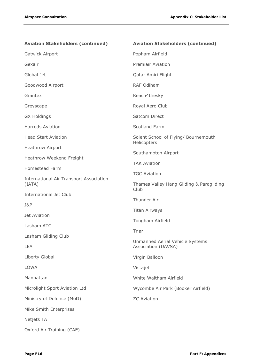| <b>Aviation Stakeholders (continued)</b>                 | <b>Aviation Stakeholders (continued)</b>               |
|----------------------------------------------------------|--------------------------------------------------------|
| Gatwick Airport                                          | Popham Airfield                                        |
| Gexair                                                   | <b>Premiair Aviation</b>                               |
| Global Jet                                               | Qatar Amiri Flight                                     |
| Goodwood Airport                                         | <b>RAF Odiham</b>                                      |
| Grantex                                                  | Reach4thesky                                           |
| Greyscape                                                | Royal Aero Club                                        |
| <b>GX Holdings</b>                                       | Satcom Direct                                          |
| <b>Harrods Aviation</b>                                  | Scotland Farm                                          |
| <b>Head Start Aviation</b>                               | Solent School of Flying/ Bournemouth<br>Helicopters    |
| Heathrow Airport                                         | Southampton Airport                                    |
| Heathrow Weekend Freight                                 | <b>TAK Aviation</b>                                    |
| Homestead Farm                                           | <b>TGC Aviation</b>                                    |
| <b>International Air Transport Association</b><br>(IATA) | Thames Valley Hang Gliding & Paragliding               |
| <b>International Jet Club</b>                            | Club                                                   |
| J&P                                                      | Thunder Air                                            |
| Jet Aviation                                             | <b>Titan Airways</b>                                   |
| Lasham ATC                                               | Tongham Airfield                                       |
| Lasham Gliding Club                                      | Triar                                                  |
| LEA                                                      | Unmanned Aerial Vehicle Systems<br>Association (UAVSA) |
| Liberty Global                                           | Virgin Balloon                                         |
| LOWA                                                     | Vistajet                                               |
| Manhattan                                                | White Waltham Airfield                                 |
| Microlight Sport Aviation Ltd                            | Wycombe Air Park (Booker Airfield)                     |
| Ministry of Defence (MoD)                                | <b>ZC Aviation</b>                                     |
| Mike Smith Enterprises                                   |                                                        |
| Netjets TA                                               |                                                        |
| Oxford Air Training (CAE)                                |                                                        |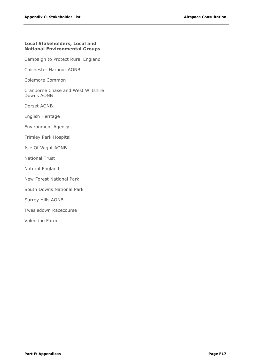#### **Local Stakeholders, Local and National Environmental Groups**

Campaign to Protect Rural England

Chichester Harbour AONB

Colemore Common

Cranborne Chase and West Wiltshire Downs AONB

Dorset AONB

English Heritage

Environment Agency

Frimley Park Hospital

Isle Of Wight AONB

National Trust

Natural England

New Forest National Park

South Downs National Park

Surrey Hills AONB

Twesledown Racecourse

Valentine Farm